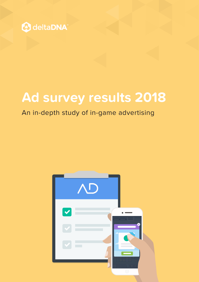

# **Ad survey results 2018**

#### An in-depth study of in-game advertising

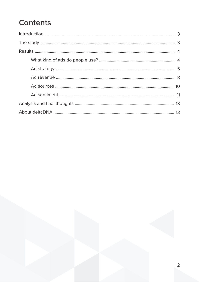# **Contents**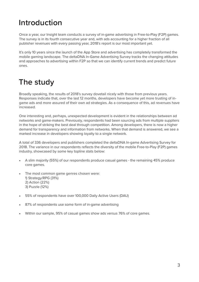## <span id="page-2-0"></span>**Introduction**

Once a year, our Insight team conducts a survey of in-game advertising in Free-to-Play (F2P) games. The survey is in its fourth consecutive year and, with ads accounting for a higher fraction of all publisher revenues with every passing year, 2018's report is our most important yet.

It's only 10 years since the launch of the App Store and advertising has completely transformed the mobile gaming landscape. The deltaDNA In-Game Advertising Survey tracks the changing attitudes and approaches to advertising within F2P so that we can identify current trends and predict future ones.

## **The study**

Broadly speaking, the results of 2018's survey dovetail nicely with those from previous years. Responses indicate that, over the last 12 months, developers have become yet more trusting of ingame ads and more assured of their own ad strategies. As a consequence of this, ad revenues have increased.

One interesting and, perhaps, unexpected development is evident in the relationships between ad networks and game-makers. Previously, respondents had been sourcing ads from multiple suppliers in the hope of striking the best deal through competition. Among developers, there is now a higher demand for transparency and information from networks. When that demand is answered, we see a marked increase in developers showing loyalty to a single network.

A total of 336 developers and publishers completed the deltaDNA In-game Advertising Survey for 2018. The variance in our respondents reflects the diversity of the mobile Free-to-Play (F2P) games industry, showcased by some key topline stats below:

- A slim majority (55%) of our respondents produce casual games the remaining 45% produce core games.
- The most common game genres chosen were: 1) Strategy/RPG (31%) 2) Action (22%) 3) Puzzle (12%)
- 55% of respondents have over 100,000 Daily Active Users (DAU)
- 87% of respondents use some form of in-game advertising
- Within our sample, 95% of casual games show ads versus 76% of core games.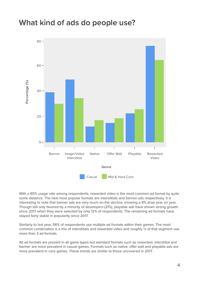#### <span id="page-3-0"></span>**What kind of ads do people use?**



With a 65% usage rate among respondents, rewarded video is the most common ad format by quite some distance. The next most popular formats are interstitials and banner ads respectively. It is interesting to note that banner ads are very much on the decline, showing a 9% drop year on year. Though still only favored by a minority of developers (21%), playable ads have shown strong growth since 2017 when they were selected by only 12% of respondents. The remaining ad formats have stayed fairly stable in popularity since 2017.

Similarly to last year, 56% of respondents use multiple ad formats within their games. The most common combination is a mix of interstitials and rewarded video and roughly  $\frac{1}{5}$  of that segment use more than 3 ad formats.

All ad formats are present in all game types but standard formats such as rewarded, interstitial and banner are more prevalent in casual games. Formats such as native, offer wall and playable ads are more prevalent in core games. These trends are similar to those uncovered in 2017.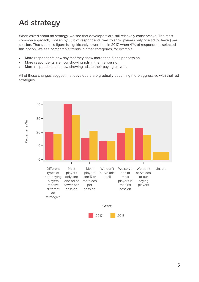# <span id="page-4-0"></span>**Ad strategy**

When asked about ad strategy, we see that developers are still relatively conservative. The most common approach, chosen by 33% of respondents, was to show players only one ad (or fewer) per session. That said, this figure is significantly lower than in 2017, when 41% of respondents selected this option. We see comparable trends in other categories, for example:

- More respondents now say that they show more than 5 ads per session.
- More respondents are now showing ads in the first session.
- More respondents are now showing ads to their paying players.

All of these changes suggest that developers are gradually becoming more aggressive with their ad strategies.

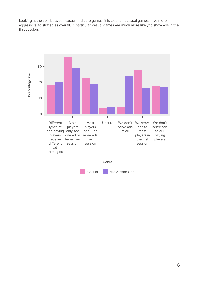Looking at the split between casual and core games, it is clear that casual games have more aggressive ad strategies overall. In particular, casual games are much more likely to show ads in the first session.

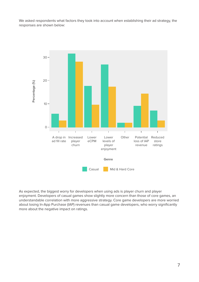<span id="page-6-0"></span>We asked respondents what factors they took into account when establishing their ad strategy, the responses are shown below:



As expected, the biggest worry for developers when using ads is player churn and player enjoyment. Developers of casual games show slightly more concern than those of core games, an understandable correlation with more aggressive strategy. Core game developers are more worried about losing In-App Purchase (IAP) revenues than casual game developers, who worry significantly more about the negative impact on ratings.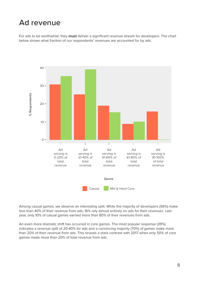## <span id="page-7-0"></span>**Ad revenue**

For ads to be worthwhile, they **must** deliver a significant revenue stream for developers. The chart below shows what fraction of our respondents' revenues are accounted for by ads.



Among casual games, we observe an interesting split. While the majority of developers (56%) make less than 40% of their revenue from ads, 16% rely almost entirely on ads for their revenues. Last year, only 10% of casual games earned more than 80% of their revenues from ads.

An even more dramatic shift has occurred in core games. The most popular response (39%) indicates a revenue split of 20-40% for ads and a convincing majority (70%) of games make more than 20% of their revenue from ads. This reveals a stark contrast with 2017 when only 50% of core games made more than 20% of total revenue from ads.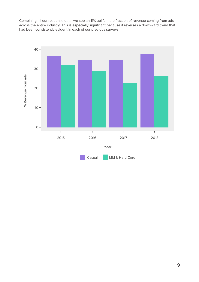<span id="page-8-0"></span>Combining all our response data, we see an 11% uplift in the fraction of revenue coming from ads across the entire industry. This is especially significant because it reverses a downward trend that had been consistently evident in each of our previous surveys.

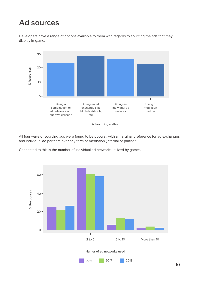## **Ad sources**

Developers have a range of options available to them with regards to sourcing the ads that they display in-game.



**Ad-sourcing method**

All four ways of sourcing ads were found to be popular, with a marginal preference for ad exchanges and individual ad partners over any form or mediation (internal or partner).

Connected to this is the number of individual ad networks utilized by games.

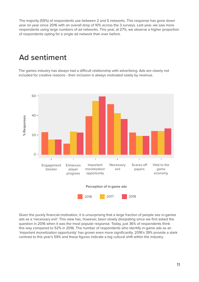<span id="page-10-0"></span>The majority (59%) of respondents use between 2 and 5 networks. This response has gone down year on year since 2016 with an overall drop of 10% across the 3 surveys. Last year, we saw more respondents using large numbers of ad networks. This year, at 27%, we observe a higher proportion of respondents opting for a single ad network than ever before.

#### **Ad sentiment**

The games industry has always had a difficult relationship with advertising. Ads are clearly not included for creative reasons - their inclusion is always motivated solely by revenue.



Given the purely financial motivation, it is unsurprising that a large fraction of people see in-games ads as a 'necessary evil'. This view has, however, been slowly dissipating since we first asked the question in 2016 when it was the most popular response. Today, just 36% of respondents think this way compared to 52% in 2016. The number of respondents who identify in-game ads as an 'important monetization opportunity' has grown even more significantly. 2016's 39% provide a stark contrast to this year's 59% and these figures indicate a big cultural shift within the industry.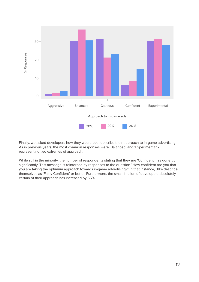

Finally, we asked developers how they would best describe their approach to in-game advertising. As in previous years, the most common responses were 'Balanced' and 'Experimental' representing two extremes of approach.

While still in the minority, the number of respondents stating that they are 'Confident' has gone up significantly. This message is reinforced by responses to the question "How confident are you that you are taking the optimum approach towards in-game advertising?" In that instance, 38% describe themselves as 'Fairly Confident' or better. Furthermore, the small fraction of developers absolutely certain of their approach has increased by 55%!